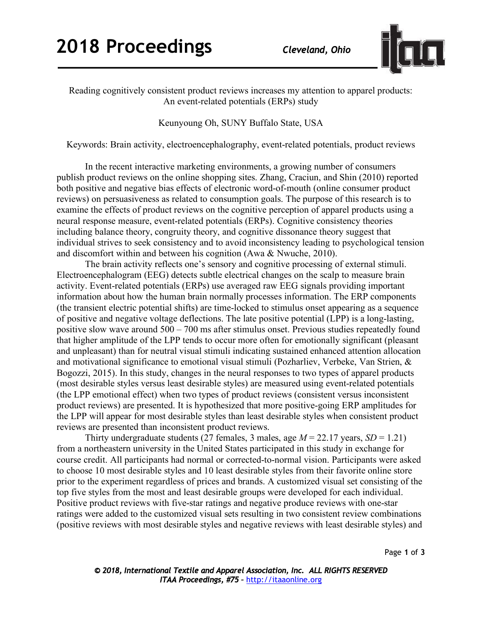

Reading cognitively consistent product reviews increases my attention to apparel products: An event-related potentials (ERPs) study

Keunyoung Oh, SUNY Buffalo State, USA

Keywords: Brain activity, electroencephalography, event-related potentials, product reviews

In the recent interactive marketing environments, a growing number of consumers publish product reviews on the online shopping sites. Zhang, Craciun, and Shin (2010) reported both positive and negative bias effects of electronic word-of-mouth (online consumer product reviews) on persuasiveness as related to consumption goals. The purpose of this research is to examine the effects of product reviews on the cognitive perception of apparel products using a neural response measure, event-related potentials (ERPs). Cognitive consistency theories including balance theory, congruity theory, and cognitive dissonance theory suggest that individual strives to seek consistency and to avoid inconsistency leading to psychological tension and discomfort within and between his cognition (Awa & Nwuche, 2010).

The brain activity reflects one's sensory and cognitive processing of external stimuli. Electroencephalogram (EEG) detects subtle electrical changes on the scalp to measure brain activity. Event-related potentials (ERPs) use averaged raw EEG signals providing important information about how the human brain normally processes information. The ERP components (the transient electric potential shifts) are time-locked to stimulus onset appearing as a sequence of positive and negative voltage deflections. The late positive potential (LPP) is a long-lasting, positive slow wave around 500 – 700 ms after stimulus onset. Previous studies repeatedly found that higher amplitude of the LPP tends to occur more often for emotionally significant (pleasant and unpleasant) than for neutral visual stimuli indicating sustained enhanced attention allocation and motivational significance to emotional visual stimuli (Pozharliev, Verbeke, Van Strien, & Bogozzi, 2015). In this study, changes in the neural responses to two types of apparel products (most desirable styles versus least desirable styles) are measured using event-related potentials (the LPP emotional effect) when two types of product reviews (consistent versus inconsistent product reviews) are presented. It is hypothesized that more positive-going ERP amplitudes for the LPP will appear for most desirable styles than least desirable styles when consistent product reviews are presented than inconsistent product reviews.

Thirty undergraduate students (27 females, 3 males, age *M* = 22.17 years, *SD* = 1.21) from a northeastern university in the United States participated in this study in exchange for course credit. All participants had normal or corrected-to-normal vision. Participants were asked to choose 10 most desirable styles and 10 least desirable styles from their favorite online store prior to the experiment regardless of prices and brands. A customized visual set consisting of the top five styles from the most and least desirable groups were developed for each individual. Positive product reviews with five-star ratings and negative produce reviews with one-star ratings were added to the customized visual sets resulting in two consistent review combinations (positive reviews with most desirable styles and negative reviews with least desirable styles) and

Page **1** of **3**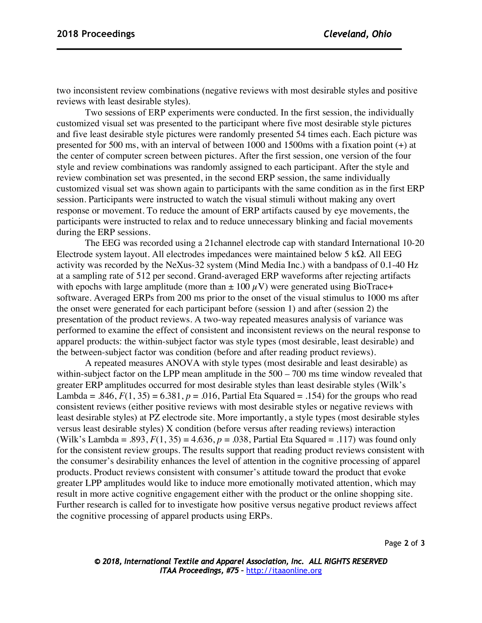two inconsistent review combinations (negative reviews with most desirable styles and positive reviews with least desirable styles).

Two sessions of ERP experiments were conducted. In the first session, the individually customized visual set was presented to the participant where five most desirable style pictures and five least desirable style pictures were randomly presented 54 times each. Each picture was presented for 500 ms, with an interval of between 1000 and 1500ms with a fixation point (+) at the center of computer screen between pictures. After the first session, one version of the four style and review combinations was randomly assigned to each participant. After the style and review combination set was presented, in the second ERP session, the same individually customized visual set was shown again to participants with the same condition as in the first ERP session. Participants were instructed to watch the visual stimuli without making any overt response or movement. To reduce the amount of ERP artifacts caused by eye movements, the participants were instructed to relax and to reduce unnecessary blinking and facial movements during the ERP sessions.

The EEG was recorded using a 21channel electrode cap with standard International 10-20 Electrode system layout. All electrodes impedances were maintained below 5 kΩ. All EEG activity was recorded by the NeXus-32 system (Mind Media Inc.) with a bandpass of 0.1-40 Hz at a sampling rate of 512 per second. Grand-averaged ERP waveforms after rejecting artifacts with epochs with large amplitude (more than  $\pm 100 \mu V$ ) were generated using BioTrace+ software. Averaged ERPs from 200 ms prior to the onset of the visual stimulus to 1000 ms after the onset were generated for each participant before (session 1) and after (session 2) the presentation of the product reviews. A two-way repeated measures analysis of variance was performed to examine the effect of consistent and inconsistent reviews on the neural response to apparel products: the within-subject factor was style types (most desirable, least desirable) and the between-subject factor was condition (before and after reading product reviews).

A repeated measures ANOVA with style types (most desirable and least desirable) as within-subject factor on the LPP mean amplitude in the  $500 - 700$  ms time window revealed that greater ERP amplitudes occurred for most desirable styles than least desirable styles (Wilk's Lambda = .846,  $F(1, 35) = 6.381$ ,  $p = .016$ , Partial Eta Squared = .154) for the groups who read consistent reviews (either positive reviews with most desirable styles or negative reviews with least desirable styles) at PZ electrode site. More importantly, a style types (most desirable styles versus least desirable styles) X condition (before versus after reading reviews) interaction (Wilk's Lambda = .893,  $F(1, 35) = 4.636$ ,  $p = .038$ , Partial Eta Squared = .117) was found only for the consistent review groups. The results support that reading product reviews consistent with the consumer's desirability enhances the level of attention in the cognitive processing of apparel products. Product reviews consistent with consumer's attitude toward the product that evoke greater LPP amplitudes would like to induce more emotionally motivated attention, which may result in more active cognitive engagement either with the product or the online shopping site. Further research is called for to investigate how positive versus negative product reviews affect the cognitive processing of apparel products using ERPs.

Page **2** of **3**

*© 2018, International Textile and Apparel Association, Inc. ALL RIGHTS RESERVED ITAA Proceedings, #75 –* http://itaaonline.org